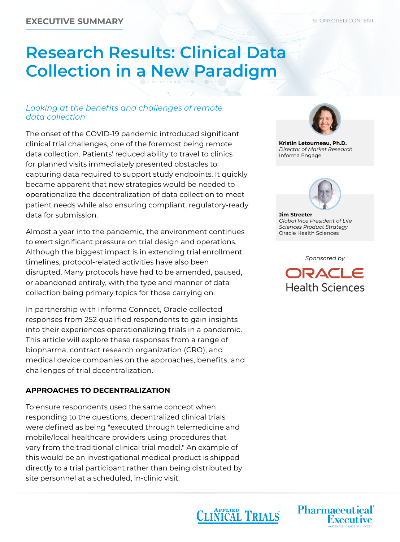# **Research Results: Clinical Data Collection in a New Paradigm**

### *Looking at the benefits and challenges of remote data collection*

The onset of the COVID-19 pandemic introduced significant clinical trial challenges, one of the foremost being remote data collection. Patients' reduced ability to travel to clinics for planned visits immediately presented obstacles to capturing data required to support study endpoints. It quickly became apparent that new strategies would be needed to operationalize the decentralization of data collection to meet patient needs while also ensuring compliant, regulatory-ready data for submission.

Almost a year into the pandemic, the environment continues to exert significant pressure on trial design and operations. Although the biggest impact is in extending trial enrollment timelines, protocol-related activities have also been disrupted. Many protocols have had to be amended, paused, or abandoned entirely, with the type and manner of data collection being primary topics for those carrying on.

In partnership with Informa Connect, Oracle collected responses from 252 qualified respondents to gain insights into their experiences operationalizing trials in a pandemic. This article will explore these responses from a range of biopharma, contract research organization (CRO), and medical device companies on the approaches, benefits, and challenges of trial decentralization.

#### **APPROACHES TO DECENTRALIZATION**

To ensure respondents used the same concept when responding to the questions, decentralized clinical trials were defined as being "executed through telemedicine and mobile/local healthcare providers using procedures that vary from the traditional clinical trial model." An example of this would be an investigational medical product is shipped directly to a trial participant rather than being distributed by site personnel at a scheduled, in-clinic visit.



**Kristin Letourneau, Ph.D.** *Director of Market Research* Informa Engage



**Jim Streeter** *Global Vice President of Life Sciences Product Strategy* Oracle Health Sciences

*Sponsored by*